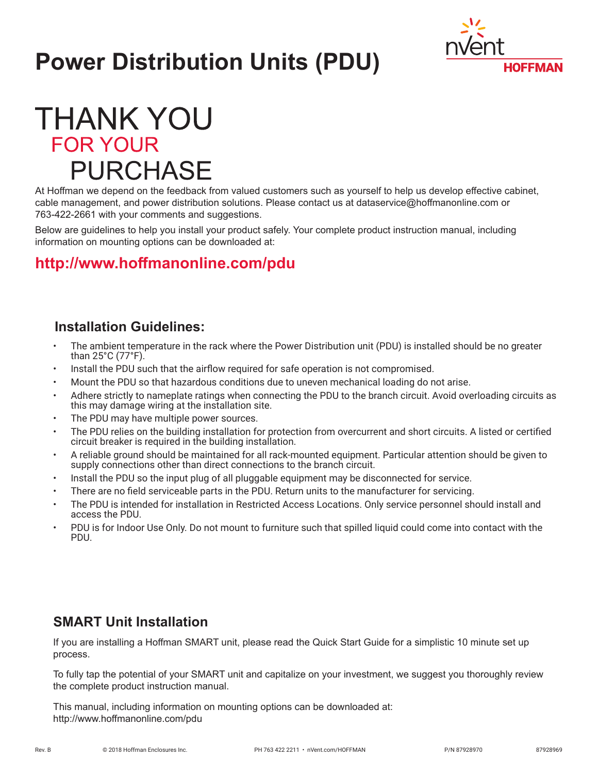# **Power Distribution Units (PDU)**



## **THANK YOU FOR YOUR PURCHASE**

At Hoffman we depend on the feedback from valued customers such as yourself to help us develop effective cabinet, cable management, and power distribution solutions. Please contact us at dataservice@hoffmanonline.com or 763-422-2661 with your comments and suggestions.

Below are guidelines to help you install your product safely. Your complete product instruction manual, including information on mounting options can be downloaded at:

### **<http://www.hoffmanonline.com/pdu>**

#### **Installation Guidelines:**

- The ambient temperature in the rack where the Power Distribution unit (PDU) is installed should be no greater than 25°C (77°F).
- Install the PDU such that the airflow required for safe operation is not compromised.
- Mount the PDU so that hazardous conditions due to uneven mechanical loading do not arise.
- Adhere strictly to nameplate ratings when connecting the PDU to the branch circuit. Avoid overloading circuits as this may damage wiring at the installation site.
- The PDU may have multiple power sources.
- The PDU relies on the building installation for protection from overcurrent and short circuits. A listed or certified circuit breaker is required in the building installation.
- A reliable ground should be maintained for all rack-mounted equipment. Particular attention should be given to supply connections other than direct connections to the branch circuit.
- Install the PDU so the input plug of all pluggable equipment may be disconnected for service.
- There are no field serviceable parts in the PDU. Return units to the manufacturer for servicing.
- The PDU is intended for installation in Restricted Access Locations. Only service personnel should install and access the PDU.
- PDU is for Indoor Use Only. Do not mount to furniture such that spilled liquid could come into contact with the PDU.

#### **SMART Unit Installation**

If you are installing a Hoffman SMART unit, please read the Quick Start Guide for a simplistic 10 minute set up process.

To fully tap the potential of your SMART unit and capitalize on your investment, we suggest you thoroughly review the complete product instruction manual.

This manual, including information on mounting options can be downloaded at: http://www.hoffmanonline.com/pdu